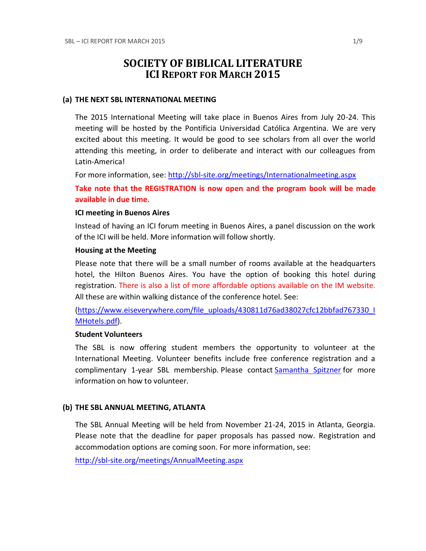# **SOCIETY OF BIBLICAL LITERATURE ICI REPORT FOR MARCH 2015**

#### **(a) THE NEXT SBL INTERNATIONAL MEETING**

The 2015 International Meeting will take place in Buenos Aires from July 20-24. This meeting will be hosted by the Pontificia Universidad Católica Argentina. We are very excited about this meeting. It would be good to see scholars from all over the world attending this meeting, in order to deliberate and interact with our colleagues from Latin-America!

For more information, see:<http://sbl-site.org/meetings/Internationalmeeting.aspx>

**Take note that the REGISTRATION is now open and the program book will be made available in due time.**

#### **ICI meeting in Buenos Aires**

Instead of having an ICI forum meeting in Buenos Aires, a panel discussion on the work of the ICI will be held. More information will follow shortly.

#### **Housing at the Meeting**

Please note that there will be a small number of rooms available at the headquarters hotel, the Hilton Buenos Aires. You have the option of booking this hotel during registration. There is also a list of more affordable options available on the IM website. All these are within walking distance of the conference hotel. See:

[\(https://www.eiseverywhere.com/file\\_uploads/430811d76ad38027cfc12bbfad767330\\_I](https://www.eiseverywhere.com/file_uploads/430811d76ad38027cfc12bbfad767330_IMHotels.pdf) [MHotels.pdf\)](https://www.eiseverywhere.com/file_uploads/430811d76ad38027cfc12bbfad767330_IMHotels.pdf).

### **Student Volunteers**

The SBL is now offering student members the opportunity to volunteer at the International Meeting. Volunteer benefits include free conference registration and a complimentary 1-year SBL membership. Please contact [Samantha Spitzner](mailto:Samantha.Spitzner@sbl-site.org) for more information on how to volunteer.

### **(b) THE SBL ANNUAL MEETING, ATLANTA**

The SBL Annual Meeting will be held from November 21-24, 2015 in Atlanta, Georgia. Please note that the deadline for paper proposals has passed now. Registration and accommodation options are coming soon. For more information, see:

<http://sbl-site.org/meetings/AnnualMeeting.aspx>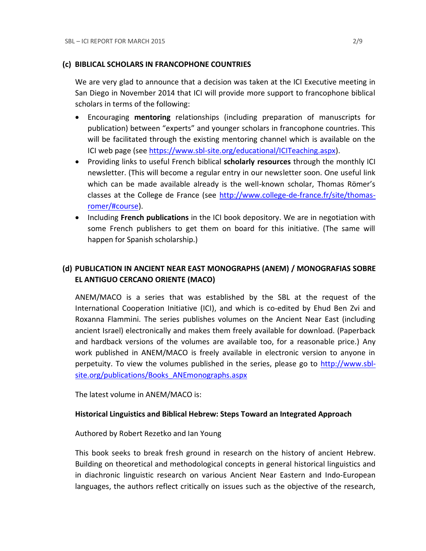### **(c) BIBLICAL SCHOLARS IN FRANCOPHONE COUNTRIES**

We are very glad to announce that a decision was taken at the ICI Executive meeting in San Diego in November 2014 that ICI will provide more support to francophone biblical scholars in terms of the following:

- Encouraging **mentoring** relationships (including preparation of manuscripts for publication) between "experts" and younger scholars in francophone countries. This will be facilitated through the existing mentoring channel which is available on the ICI web page (see [https://www.sbl-site.org/educational/ICITeaching.aspx\)](https://www.sbl-site.org/educational/ICITeaching.aspx).
- Providing links to useful French biblical **scholarly resources** through the monthly ICI newsletter. (This will become a regular entry in our newsletter soon. One useful link which can be made available already is the well-known scholar, Thomas Römer's classes at the College de France (see [http://www.college-de-france.fr/site/thomas](http://www.college-de-france.fr/site/thomas-romer/#course)[romer/#course\)](http://www.college-de-france.fr/site/thomas-romer/#course).
- **•** Including French publications in the ICI book depository. We are in negotiation with some French publishers to get them on board for this initiative. (The same will happen for Spanish scholarship.)

## **(d) PUBLICATION IN [ANCIENT NEAR EAST MONOGRAPHS](http://www.sbl-site.org/publications/Books_ANEmonographs.aspx) (ANEM) / [MONOGRAFIAS SOBRE](http://www.uca.edu.ar/index.php/site/index/en/universidad/facultades/buenos-aires/cs-sociales-politicas-y-de-la-comunicacion/investigacion/cehao/monografias_aco/)  [EL ANTIGUO CERCANO ORIENTE](http://www.uca.edu.ar/index.php/site/index/en/universidad/facultades/buenos-aires/cs-sociales-politicas-y-de-la-comunicacion/investigacion/cehao/monografias_aco/) (MACO)**

ANEM/MACO is a series that was established by the SBL at the request of the International Cooperation Initiative (ICI), and which is co-edited by Ehud Ben Zvi and Roxanna Flammini. The series publishes volumes on the Ancient Near East (including ancient Israel) electronically and makes them freely available for download. (Paperback and hardback versions of the volumes are available too, for a reasonable price.) Any work published in ANEM/MACO is freely available in electronic version to anyone in perpetuity. To view the volumes published in the series, please go to [http://www.sbl](http://www.sbl-site.org/publications/Books_ANEmonographs.aspx)site.org/publications/Books ANEmonographs.aspx

The latest volume in ANEM/MACO is:

### **Historical Linguistics and Biblical Hebrew: Steps Toward an Integrated Approach**

Authored by Robert Rezetko and Ian Young

This book seeks to break fresh ground in research on the history of ancient Hebrew. Building on theoretical and methodological concepts in general historical linguistics and in diachronic linguistic research on various Ancient Near Eastern and Indo-European languages, the authors reflect critically on issues such as the objective of the research,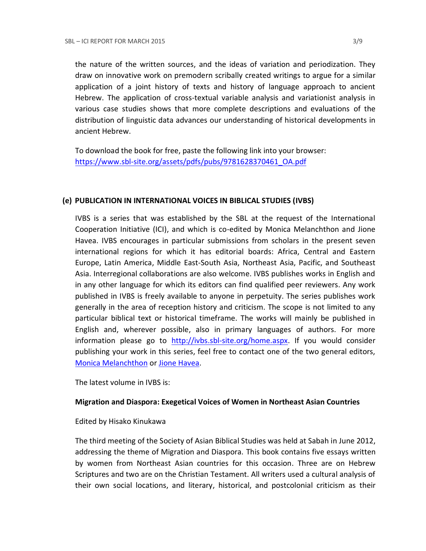the nature of the written sources, and the ideas of variation and periodization. They draw on innovative work on premodern scribally created writings to argue for a similar application of a joint history of texts and history of language approach to ancient Hebrew. The application of cross-textual variable analysis and variationist analysis in various case studies shows that more complete descriptions and evaluations of the distribution of linguistic data advances our understanding of historical developments in ancient Hebrew.

To download the book for free, paste the following link into your browser: [https://www.sbl-site.org/assets/pdfs/pubs/9781628370461\\_OA.pdf](https://www.sbl-site.org/assets/pdfs/pubs/9781628370461_OA.pdf)

### **(e) PUBLICATION IN INTERNATIONAL VOICES IN BIBLICAL STUDIES (IVBS)**

IVBS is a series that was established by the SBL at the request of the International Cooperation Initiative (ICI), and which is co-edited by Monica Melanchthon and Jione Havea. IVBS encourages in particular submissions from scholars in the present seven international regions for which it has editorial boards: Africa, Central and Eastern Europe, Latin America, Middle East-South Asia, Northeast Asia, Pacific, and Southeast Asia. Interregional collaborations are also welcome. IVBS publishes works in English and in any other language for which its editors can find qualified peer reviewers. Any work published in IVBS is freely available to anyone in perpetuity. The series publishes work generally in the area of reception history and criticism. The scope is not limited to any particular biblical text or historical timeframe. The works will mainly be published in English and, wherever possible, also in primary languages of authors. For more information please go to [http://ivbs.sbl-site.org/home.aspx.](http://ivbs.sbl-site.org/home.aspx) If you would consider publishing your work in this series, feel free to contact one of the two general editors, [Monica Melanchthon](mailto:ivbs2010@gmail.com) or [Jione Havea.](mailto:jioneh@nsw.uca.org.au)

The latest volume in IVBS is:

### **Migration and Diaspora: Exegetical Voices of Women in Northeast Asian Countries**

### Edited by Hisako Kinukawa

The third meeting of the Society of Asian Biblical Studies was held at Sabah in June 2012, addressing the theme of Migration and Diaspora. This book contains five essays written by women from Northeast Asian countries for this occasion. Three are on Hebrew Scriptures and two are on the Christian Testament. All writers used a cultural analysis of their own social locations, and literary, historical, and postcolonial criticism as their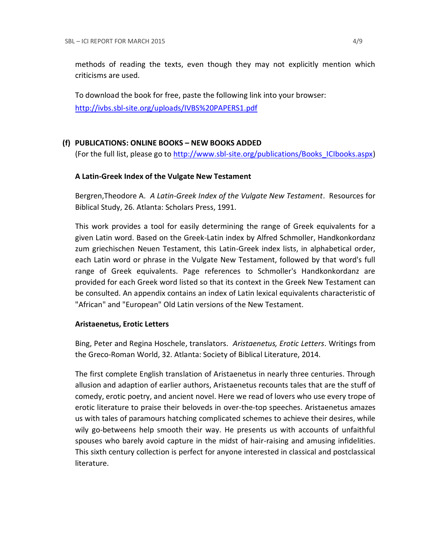methods of reading the texts, even though they may not explicitly mention which criticisms are used.

To download the book for free, paste the following link into your browser: <http://ivbs.sbl-site.org/uploads/IVBS%20PAPERS1.pdf>

## **(f) PUBLICATIONS: ONLINE BOOKS – NEW BOOKS ADDED**

(For the full list, please go to [http://www.sbl-site.org/publications/Books\\_ICIbooks.aspx\)](http://www.sbl-site.org/publications/Books_ICIbooks.aspx)

### **A Latin-Greek Index of the Vulgate New Testament**

Bergren,Theodore A. *A Latin-Greek Index of the Vulgate New Testament*. Resources for Biblical Study, 26. Atlanta: Scholars Press, 1991.

This work provides a tool for easily determining the range of Greek equivalents for a given Latin word. Based on the Greek-Latin index by Alfred Schmoller, Handkonkordanz zum griechischen Neuen Testament, this Latin-Greek index lists, in alphabetical order, each Latin word or phrase in the Vulgate New Testament, followed by that word's full range of Greek equivalents. Page references to Schmoller's Handkonkordanz are provided for each Greek word listed so that its context in the Greek New Testament can be consulted. An appendix contains an index of Latin lexical equivalents characteristic of "African" and "European" Old Latin versions of the New Testament.

### **Aristaenetus, Erotic Letters**

Bing, Peter and Regina Hoschele, translators. *Aristaenetus, Erotic Letters*. Writings from the Greco-Roman World, 32. Atlanta: Society of Biblical Literature, 2014.

The first complete English translation of Aristaenetus in nearly three centuries. Through allusion and adaption of earlier authors, Aristaenetus recounts tales that are the stuff of comedy, erotic poetry, and ancient novel. Here we read of lovers who use every trope of erotic literature to praise their beloveds in over-the-top speeches. Aristaenetus amazes us with tales of paramours hatching complicated schemes to achieve their desires, while wily go-betweens help smooth their way. He presents us with accounts of unfaithful spouses who barely avoid capture in the midst of hair-raising and amusing infidelities. This sixth century collection is perfect for anyone interested in classical and postclassical literature.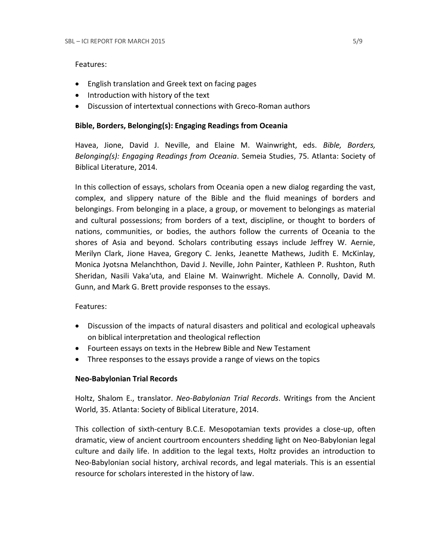#### Features:

- English translation and Greek text on facing pages
- Introduction with history of the text
- Discussion of intertextual connections with Greco-Roman authors

### **Bible, Borders, Belonging(s): Engaging Readings from Oceania**

Havea, Jione, David J. Neville, and Elaine M. Wainwright, eds. *Bible, Borders, Belonging(s): Engaging Readings from Oceania*. Semeia Studies, 75. Atlanta: Society of Biblical Literature, 2014.

In this collection of essays, scholars from Oceania open a new dialog regarding the vast, complex, and slippery nature of the Bible and the fluid meanings of borders and belongings. From belonging in a place, a group, or movement to belongings as material and cultural possessions; from borders of a text, discipline, or thought to borders of nations, communities, or bodies, the authors follow the currents of Oceania to the shores of Asia and beyond. Scholars contributing essays include Jeffrey W. Aernie, Merilyn Clark, Jione Havea, Gregory C. Jenks, Jeanette Mathews, Judith E. McKinlay, Monica Jyotsna Melanchthon, David J. Neville, John Painter, Kathleen P. Rushton, Ruth Sheridan, Nasili Vaka'uta, and Elaine M. Wainwright. Michele A. Connolly, David M. Gunn, and Mark G. Brett provide responses to the essays.

Features:

- Discussion of the impacts of natural disasters and political and ecological upheavals on biblical interpretation and theological reflection
- Fourteen essays on texts in the Hebrew Bible and New Testament
- Three responses to the essays provide a range of views on the topics

### **Neo-Babylonian Trial Records**

Holtz, Shalom E., translator. *Neo-Babylonian Trial Records*. Writings from the Ancient World, 35. Atlanta: Society of Biblical Literature, 2014.

This collection of sixth-century B.C.E. Mesopotamian texts provides a close-up, often dramatic, view of ancient courtroom encounters shedding light on Neo-Babylonian legal culture and daily life. In addition to the legal texts, Holtz provides an introduction to Neo-Babylonian social history, archival records, and legal materials. This is an essential resource for scholars interested in the history of law.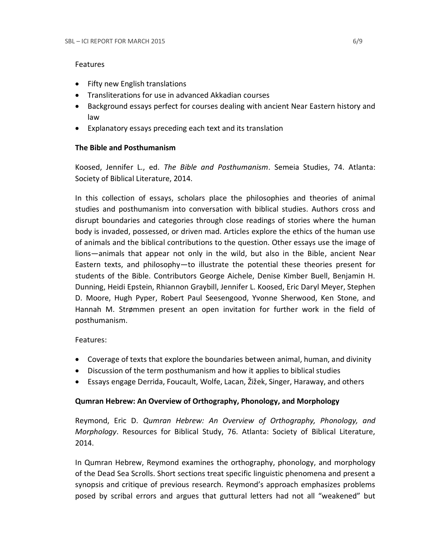### Features

- Fifty new English translations
- Transliterations for use in advanced Akkadian courses
- Background essays perfect for courses dealing with ancient Near Eastern history and law
- Explanatory essays preceding each text and its translation

### **The Bible and Posthumanism**

Koosed, Jennifer L., ed. *The Bible and Posthumanism*. Semeia Studies, 74. Atlanta: Society of Biblical Literature, 2014.

In this collection of essays, scholars place the philosophies and theories of animal studies and posthumanism into conversation with biblical studies. Authors cross and disrupt boundaries and categories through close readings of stories where the human body is invaded, possessed, or driven mad. Articles explore the ethics of the human use of animals and the biblical contributions to the question. Other essays use the image of lions—animals that appear not only in the wild, but also in the Bible, ancient Near Eastern texts, and philosophy—to illustrate the potential these theories present for students of the Bible. Contributors George Aichele, Denise Kimber Buell, Benjamin H. Dunning, Heidi Epstein, Rhiannon Graybill, Jennifer L. Koosed, Eric Daryl Meyer, Stephen D. Moore, Hugh Pyper, Robert Paul Seesengood, Yvonne Sherwood, Ken Stone, and Hannah M. Strømmen present an open invitation for further work in the field of posthumanism.

### Features:

- Coverage of texts that explore the boundaries between animal, human, and divinity
- Discussion of the term posthumanism and how it applies to biblical studies
- Essays engage Derrida, Foucault, Wolfe, Lacan, Žižek, Singer, Haraway, and others

## **Qumran Hebrew: An Overview of Orthography, Phonology, and Morphology**

Reymond, Eric D. *Qumran Hebrew: An Overview of Orthography, Phonology, and Morphology*. Resources for Biblical Study, 76. Atlanta: Society of Biblical Literature, 2014.

In Qumran Hebrew, Reymond examines the orthography, phonology, and morphology of the Dead Sea Scrolls. Short sections treat specific linguistic phenomena and present a synopsis and critique of previous research. Reymond's approach emphasizes problems posed by scribal errors and argues that guttural letters had not all "weakened" but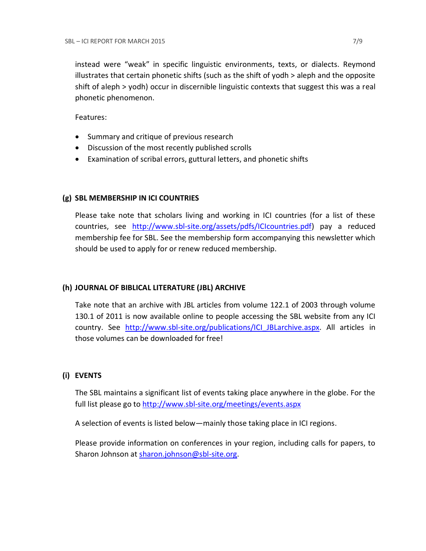instead were "weak" in specific linguistic environments, texts, or dialects. Reymond illustrates that certain phonetic shifts (such as the shift of yodh > aleph and the opposite shift of aleph > yodh) occur in discernible linguistic contexts that suggest this was a real phonetic phenomenon.

Features:

- Summary and critique of previous research
- Discussion of the most recently published scrolls
- Examination of scribal errors, guttural letters, and phonetic shifts

### **(g) SBL MEMBERSHIP IN ICI COUNTRIES**

Please take note that scholars living and working in ICI countries (for a list of these countries, see [http://www.sbl-site.org/assets/pdfs/ICIcountries.pdf\)](http://www.sbl-site.org/assets/pdfs/ICIcountries.pdf) pay a reduced membership fee for SBL. See the membership form accompanying this newsletter which should be used to apply for or renew reduced membership.

### **(h) JOURNAL OF BIBLICAL LITERATURE (JBL) ARCHIVE**

Take note that an archive with JBL articles from volume 122.1 of 2003 through volume 130.1 of 2011 is now available online to people accessing the SBL website from any ICI country. See [http://www.sbl-site.org/publications/ICI\\_JBLarchive.aspx.](http://www.sbl-site.org/publications/ICI_JBLarchive.aspx) All articles in those volumes can be downloaded for free!

### **(i) EVENTS**

The SBL maintains a significant list of events taking place anywhere in the globe. For the full list please go to<http://www.sbl-site.org/meetings/events.aspx>

A selection of events is listed below—mainly those taking place in ICI regions.

Please provide information on conferences in your region, including calls for papers, to Sharon Johnson at [sharon.johnson@sbl-site.org.](mailto:sharon.johnson@sbl-site.org)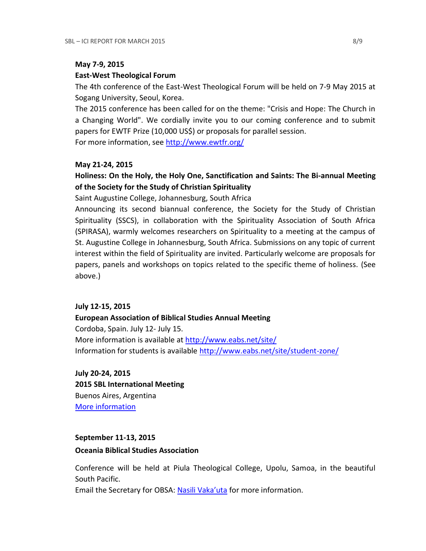#### **May 7-9, 2015**

#### **East-West Theological Forum**

The 4th conference of the East-West Theological Forum will be held on 7-9 May 2015 at Sogang University, Seoul, Korea.

The 2015 conference has been called for on the theme: "Crisis and Hope: The Church in a Changing World". We cordially invite you to our coming conference and to submit papers for EWTF Prize (10,000 US\$) or proposals for parallel session.

For more information, see<http://www.ewtfr.org/>

### **May 21-24, 2015**

## **Holiness: On the Holy, the Holy One, Sanctification and Saints: The Bi-annual Meeting of the Society for the Study of Christian Spirituality**

Saint Augustine College, Johannesburg, South Africa

Announcing its second biannual conference, the Society for the Study of Christian Spirituality (SSCS), in collaboration with the Spirituality Association of South Africa (SPIRASA), warmly welcomes researchers on Spirituality to a meeting at the campus of St. Augustine College in Johannesburg, South Africa. Submissions on any topic of current interest within the field of Spirituality are invited. Particularly welcome are proposals for papers, panels and workshops on topics related to the specific theme of holiness. (See above.)

### **July 12-15, 2015**

### **European Association of Biblical Studies Annual Meeting**

Cordoba, Spain. July 12- July 15. More information is available at<http://www.eabs.net/site/> Information for students is available <http://www.eabs.net/site/student-zone/>

**July 20-24, 2015 2015 SBL International Meeting** Buenos Aires, Argentina [More information](http://www.sbl-site.org/meetings/Internationalmeeting.aspx)

## **September 11-13, 2015**

### **Oceania Biblical Studies Association**

Conference will be held at Piula Theological College, Upolu, Samoa, in the beautiful South Pacific.

Email the Secretary for OBSA: [Nasili Vaka'uta](mailto:%20OBSAMail@gmail.com) for more information.